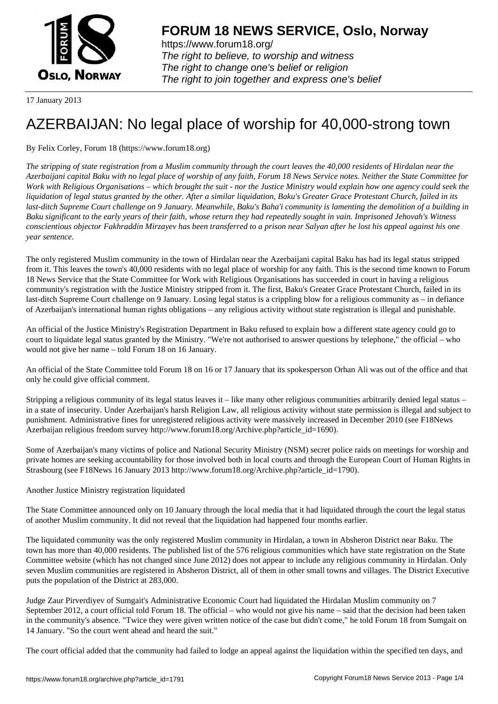

https://www.forum18.org/ The right to believe, to worship and witness The right to change one's belief or religion [The right to join together a](https://www.forum18.org/)nd express one's belief

17 January 2013

# [AZERBAIJAN: N](https://www.forum18.org)o legal place of worship for 40,000-strong town

# By Felix Corley, Forum 18 (https://www.forum18.org)

*The stripping of state registration from a Muslim community through the court leaves the 40,000 residents of Hirdalan near the Azerbaijani capital Baku with no legal place of worship of any faith, Forum 18 News Service notes. Neither the State Committee for Work with Religious Organisations – which brought the suit - nor the Justice Ministry would explain how one agency could seek the liquidation of legal status granted by the other. After a similar liquidation, Baku's Greater Grace Protestant Church, failed in its last-ditch Supreme Court challenge on 9 January. Meanwhile, Baku's Baha'i community is lamenting the demolition of a building in Baku significant to the early years of their faith, whose return they had repeatedly sought in vain. Imprisoned Jehovah's Witness conscientious objector Fakhraddin Mirzayev has been transferred to a prison near Salyan after he lost his appeal against his one year sentence.*

The only registered Muslim community in the town of Hirdalan near the Azerbaijani capital Baku has had its legal status stripped from it. This leaves the town's 40,000 residents with no legal place of worship for any faith. This is the second time known to Forum 18 News Service that the State Committee for Work with Religious Organisations has succeeded in court in having a religious community's registration with the Justice Ministry stripped from it. The first, Baku's Greater Grace Protestant Church, failed in its last-ditch Supreme Court challenge on 9 January. Losing legal status is a crippling blow for a religious community as – in defiance of Azerbaijan's international human rights obligations – any religious activity without state registration is illegal and punishable.

An official of the Justice Ministry's Registration Department in Baku refused to explain how a different state agency could go to court to liquidate legal status granted by the Ministry. "We're not authorised to answer questions by telephone," the official – who would not give her name – told Forum 18 on 16 January.

An official of the State Committee told Forum 18 on 16 or 17 January that its spokesperson Orhan Ali was out of the office and that only he could give official comment.

Stripping a religious community of its legal status leaves it – like many other religious communities arbitrarily denied legal status – in a state of insecurity. Under Azerbaijan's harsh Religion Law, all religious activity without state permission is illegal and subject to punishment. Administrative fines for unregistered religious activity were massively increased in December 2010 (see F18News Azerbaijan religious freedom survey http://www.forum18.org/Archive.php?article\_id=1690).

Some of Azerbaijan's many victims of police and National Security Ministry (NSM) secret police raids on meetings for worship and private homes are seeking accountability for those involved both in local courts and through the European Court of Human Rights in Strasbourg (see F18News 16 January 2013 http://www.forum18.org/Archive.php?article\_id=1790).

## Another Justice Ministry registration liquidated

The State Committee announced only on 10 January through the local media that it had liquidated through the court the legal status of another Muslim community. It did not reveal that the liquidation had happened four months earlier.

The liquidated community was the only registered Muslim community in Hirdalan, a town in Absheron District near Baku. The town has more than 40,000 residents. The published list of the 576 religious communities which have state registration on the State Committee website (which has not changed since June 2012) does not appear to include any religious community in Hirdalan. Only seven Muslim communities are registered in Absheron District, all of them in other small towns and villages. The District Executive puts the population of the District at 283,000.

Judge Zaur Pirverdiyev of Sumgait's Administrative Economic Court had liquidated the Hirdalan Muslim community on 7 September 2012, a court official told Forum 18. The official – who would not give his name – said that the decision had been taken in the community's absence. "Twice they were given written notice of the case but didn't come," he told Forum 18 from Sumgait on 14 January. "So the court went ahead and heard the suit."

The court official added that the community had failed to lodge an appeal against the liquidation within the specified ten days, and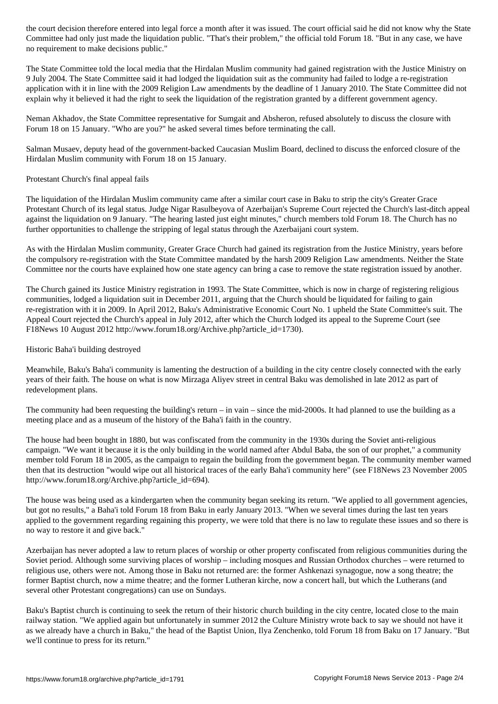Committee had only just made the liquidation public. "That's their problem," the official told Forum 18. "But in any case, we have no requirement to make decisions public."

The State Committee told the local media that the Hirdalan Muslim community had gained registration with the Justice Ministry on 9 July 2004. The State Committee said it had lodged the liquidation suit as the community had failed to lodge a re-registration application with it in line with the 2009 Religion Law amendments by the deadline of 1 January 2010. The State Committee did not explain why it believed it had the right to seek the liquidation of the registration granted by a different government agency.

Neman Akhadov, the State Committee representative for Sumgait and Absheron, refused absolutely to discuss the closure with Forum 18 on 15 January. "Who are you?" he asked several times before terminating the call.

Salman Musaev, deputy head of the government-backed Caucasian Muslim Board, declined to discuss the enforced closure of the Hirdalan Muslim community with Forum 18 on 15 January.

Protestant Church's final appeal fails

The liquidation of the Hirdalan Muslim community came after a similar court case in Baku to strip the city's Greater Grace Protestant Church of its legal status. Judge Nigar Rasulbeyova of Azerbaijan's Supreme Court rejected the Church's last-ditch appeal against the liquidation on 9 January. "The hearing lasted just eight minutes," church members told Forum 18. The Church has no further opportunities to challenge the stripping of legal status through the Azerbaijani court system.

As with the Hirdalan Muslim community, Greater Grace Church had gained its registration from the Justice Ministry, years before the compulsory re-registration with the State Committee mandated by the harsh 2009 Religion Law amendments. Neither the State Committee nor the courts have explained how one state agency can bring a case to remove the state registration issued by another.

The Church gained its Justice Ministry registration in 1993. The State Committee, which is now in charge of registering religious communities, lodged a liquidation suit in December 2011, arguing that the Church should be liquidated for failing to gain re-registration with it in 2009. In April 2012, Baku's Administrative Economic Court No. 1 upheld the State Committee's suit. The Appeal Court rejected the Church's appeal in July 2012, after which the Church lodged its appeal to the Supreme Court (see F18News 10 August 2012 http://www.forum18.org/Archive.php?article\_id=1730).

### Historic Baha'i building destroyed

Meanwhile, Baku's Baha'i community is lamenting the destruction of a building in the city centre closely connected with the early years of their faith. The house on what is now Mirzaga Aliyev street in central Baku was demolished in late 2012 as part of redevelopment plans.

The community had been requesting the building's return – in vain – since the mid-2000s. It had planned to use the building as a meeting place and as a museum of the history of the Baha'i faith in the country.

The house had been bought in 1880, but was confiscated from the community in the 1930s during the Soviet anti-religious campaign. "We want it because it is the only building in the world named after Abdul Baba, the son of our prophet," a community member told Forum 18 in 2005, as the campaign to regain the building from the government began. The community member warned then that its destruction "would wipe out all historical traces of the early Baha'i community here" (see F18News 23 November 2005 http://www.forum18.org/Archive.php?article\_id=694).

The house was being used as a kindergarten when the community began seeking its return. "We applied to all government agencies, but got no results," a Baha'i told Forum 18 from Baku in early January 2013. "When we several times during the last ten years applied to the government regarding regaining this property, we were told that there is no law to regulate these issues and so there is no way to restore it and give back."

Azerbaijan has never adopted a law to return places of worship or other property confiscated from religious communities during the Soviet period. Although some surviving places of worship – including mosques and Russian Orthodox churches – were returned to religious use, others were not. Among those in Baku not returned are: the former Ashkenazi synagogue, now a song theatre; the former Baptist church, now a mime theatre; and the former Lutheran kirche, now a concert hall, but which the Lutherans (and several other Protestant congregations) can use on Sundays.

Baku's Baptist church is continuing to seek the return of their historic church building in the city centre, located close to the main railway station. "We applied again but unfortunately in summer 2012 the Culture Ministry wrote back to say we should not have it as we already have a church in Baku," the head of the Baptist Union, Ilya Zenchenko, told Forum 18 from Baku on 17 January. "But we'll continue to press for its return."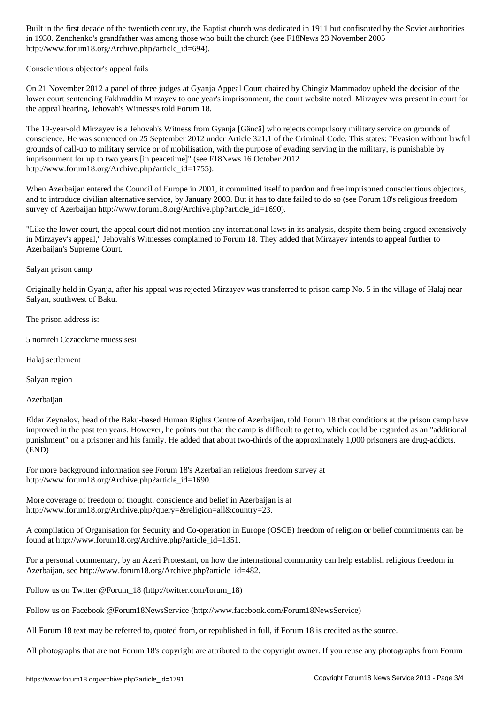in 1930. Zenchenko's grandfather was among those who built the church (see F18News 23 November 2005 http://www.forum18.org/Archive.php?article\_id=694).

Conscientious objector's appeal fails

On 21 November 2012 a panel of three judges at Gyanja Appeal Court chaired by Chingiz Mammadov upheld the decision of the lower court sentencing Fakhraddin Mirzayev to one year's imprisonment, the court website noted. Mirzayev was present in court for the appeal hearing, Jehovah's Witnesses told Forum 18.

The 19-year-old Mirzayev is a Jehovah's Witness from Gyanja [Gäncä] who rejects compulsory military service on grounds of conscience. He was sentenced on 25 September 2012 under Article 321.1 of the Criminal Code. This states: "Evasion without lawful grounds of call-up to military service or of mobilisation, with the purpose of evading serving in the military, is punishable by imprisonment for up to two years [in peacetime]" (see F18News 16 October 2012 http://www.forum18.org/Archive.php?article\_id=1755).

When Azerbaijan entered the Council of Europe in 2001, it committed itself to pardon and free imprisoned conscientious objectors, and to introduce civilian alternative service, by January 2003. But it has to date failed to do so (see Forum 18's religious freedom survey of Azerbaijan http://www.forum18.org/Archive.php?article\_id=1690).

"Like the lower court, the appeal court did not mention any international laws in its analysis, despite them being argued extensively in Mirzayev's appeal," Jehovah's Witnesses complained to Forum 18. They added that Mirzayev intends to appeal further to Azerbaijan's Supreme Court.

Salyan prison camp

Originally held in Gyanja, after his appeal was rejected Mirzayev was transferred to prison camp No. 5 in the village of Halaj near Salyan, southwest of Baku.

The prison address is:

5 nomreli Cezacekme muessisesi

Halaj settlement

Salyan region

#### Azerbaijan

Eldar Zeynalov, head of the Baku-based Human Rights Centre of Azerbaijan, told Forum 18 that conditions at the prison camp have improved in the past ten years. However, he points out that the camp is difficult to get to, which could be regarded as an "additional punishment" on a prisoner and his family. He added that about two-thirds of the approximately 1,000 prisoners are drug-addicts. (END)

For more background information see Forum 18's Azerbaijan religious freedom survey at http://www.forum18.org/Archive.php?article\_id=1690.

More coverage of freedom of thought, conscience and belief in Azerbaijan is at http://www.forum18.org/Archive.php?query=&religion=all&country=23.

A compilation of Organisation for Security and Co-operation in Europe (OSCE) freedom of religion or belief commitments can be found at http://www.forum18.org/Archive.php?article\_id=1351.

For a personal commentary, by an Azeri Protestant, on how the international community can help establish religious freedom in Azerbaijan, see http://www.forum18.org/Archive.php?article\_id=482.

Follow us on Twitter @Forum\_18 (http://twitter.com/forum\_18)

Follow us on Facebook @Forum18NewsService (http://www.facebook.com/Forum18NewsService)

All Forum 18 text may be referred to, quoted from, or republished in full, if Forum 18 is credited as the source.

All photographs that are not Forum 18's copyright are attributed to the copyright owner. If you reuse any photographs from Forum